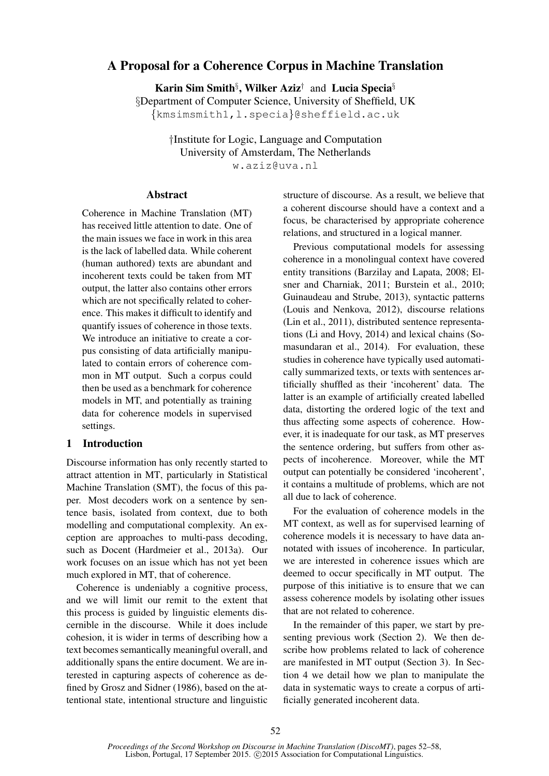# A Proposal for a Coherence Corpus in Machine Translation

Karin Sim Smith<sup>§</sup>, Wilker Aziz<sup>†</sup> and Lucia Specia<sup>§</sup> §Department of Computer Science, University of Sheffield, UK {kmsimsmith1,l.specia}@sheffield.ac.uk

> †Institute for Logic, Language and Computation University of Amsterdam, The Netherlands w.aziz@uva.nl

### **Abstract**

Coherence in Machine Translation (MT) has received little attention to date. One of the main issues we face in work in this area is the lack of labelled data. While coherent (human authored) texts are abundant and incoherent texts could be taken from MT output, the latter also contains other errors which are not specifically related to coherence. This makes it difficult to identify and quantify issues of coherence in those texts. We introduce an initiative to create a corpus consisting of data artificially manipulated to contain errors of coherence common in MT output. Such a corpus could then be used as a benchmark for coherence models in MT, and potentially as training data for coherence models in supervised settings.

## 1 Introduction

Discourse information has only recently started to attract attention in MT, particularly in Statistical Machine Translation (SMT), the focus of this paper. Most decoders work on a sentence by sentence basis, isolated from context, due to both modelling and computational complexity. An exception are approaches to multi-pass decoding, such as Docent (Hardmeier et al., 2013a). Our work focuses on an issue which has not yet been much explored in MT, that of coherence.

Coherence is undeniably a cognitive process, and we will limit our remit to the extent that this process is guided by linguistic elements discernible in the discourse. While it does include cohesion, it is wider in terms of describing how a text becomes semantically meaningful overall, and additionally spans the entire document. We are interested in capturing aspects of coherence as defined by Grosz and Sidner (1986), based on the attentional state, intentional structure and linguistic structure of discourse. As a result, we believe that a coherent discourse should have a context and a focus, be characterised by appropriate coherence relations, and structured in a logical manner.

Previous computational models for assessing coherence in a monolingual context have covered entity transitions (Barzilay and Lapata, 2008; Elsner and Charniak, 2011; Burstein et al., 2010; Guinaudeau and Strube, 2013), syntactic patterns (Louis and Nenkova, 2012), discourse relations (Lin et al., 2011), distributed sentence representations (Li and Hovy, 2014) and lexical chains (Somasundaran et al., 2014). For evaluation, these studies in coherence have typically used automatically summarized texts, or texts with sentences artificially shuffled as their 'incoherent' data. The latter is an example of artificially created labelled data, distorting the ordered logic of the text and thus affecting some aspects of coherence. However, it is inadequate for our task, as MT preserves the sentence ordering, but suffers from other aspects of incoherence. Moreover, while the MT output can potentially be considered 'incoherent', it contains a multitude of problems, which are not all due to lack of coherence.

For the evaluation of coherence models in the MT context, as well as for supervised learning of coherence models it is necessary to have data annotated with issues of incoherence. In particular, we are interested in coherence issues which are deemed to occur specifically in MT output. The purpose of this initiative is to ensure that we can assess coherence models by isolating other issues that are not related to coherence.

In the remainder of this paper, we start by presenting previous work (Section 2). We then describe how problems related to lack of coherence are manifested in MT output (Section 3). In Section 4 we detail how we plan to manipulate the data in systematic ways to create a corpus of artificially generated incoherent data.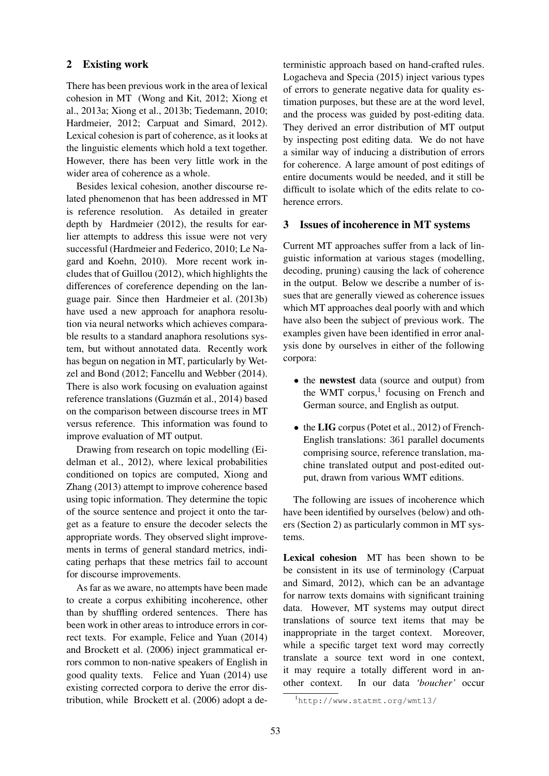### 2 Existing work

There has been previous work in the area of lexical cohesion in MT (Wong and Kit, 2012; Xiong et al., 2013a; Xiong et al., 2013b; Tiedemann, 2010; Hardmeier, 2012; Carpuat and Simard, 2012). Lexical cohesion is part of coherence, as it looks at the linguistic elements which hold a text together. However, there has been very little work in the wider area of coherence as a whole.

Besides lexical cohesion, another discourse related phenomenon that has been addressed in MT is reference resolution. As detailed in greater depth by Hardmeier (2012), the results for earlier attempts to address this issue were not very successful (Hardmeier and Federico, 2010; Le Nagard and Koehn, 2010). More recent work includes that of Guillou (2012), which highlights the differences of coreference depending on the language pair. Since then Hardmeier et al. (2013b) have used a new approach for anaphora resolution via neural networks which achieves comparable results to a standard anaphora resolutions system, but without annotated data. Recently work has begun on negation in MT, particularly by Wetzel and Bond (2012; Fancellu and Webber (2014). There is also work focusing on evaluation against reference translations (Guzmán et al., 2014) based on the comparison between discourse trees in MT versus reference. This information was found to improve evaluation of MT output.

Drawing from research on topic modelling (Eidelman et al., 2012), where lexical probabilities conditioned on topics are computed, Xiong and Zhang (2013) attempt to improve coherence based using topic information. They determine the topic of the source sentence and project it onto the target as a feature to ensure the decoder selects the appropriate words. They observed slight improvements in terms of general standard metrics, indicating perhaps that these metrics fail to account for discourse improvements.

As far as we aware, no attempts have been made to create a corpus exhibiting incoherence, other than by shuffling ordered sentences. There has been work in other areas to introduce errors in correct texts. For example, Felice and Yuan (2014) and Brockett et al. (2006) inject grammatical errors common to non-native speakers of English in good quality texts. Felice and Yuan (2014) use existing corrected corpora to derive the error distribution, while Brockett et al. (2006) adopt a deterministic approach based on hand-crafted rules. Logacheva and Specia (2015) inject various types of errors to generate negative data for quality estimation purposes, but these are at the word level, and the process was guided by post-editing data. They derived an error distribution of MT output by inspecting post editing data. We do not have a similar way of inducing a distribution of errors for coherence. A large amount of post editings of entire documents would be needed, and it still be difficult to isolate which of the edits relate to coherence errors.

### 3 Issues of incoherence in MT systems

Current MT approaches suffer from a lack of linguistic information at various stages (modelling, decoding, pruning) causing the lack of coherence in the output. Below we describe a number of issues that are generally viewed as coherence issues which MT approaches deal poorly with and which have also been the subject of previous work. The examples given have been identified in error analysis done by ourselves in either of the following corpora:

- the newstest data (source and output) from the WMT corpus,<sup>1</sup> focusing on French and German source, and English as output.
- the LIG corpus (Potet et al., 2012) of French-English translations: 361 parallel documents comprising source, reference translation, machine translated output and post-edited output, drawn from various WMT editions.

The following are issues of incoherence which have been identified by ourselves (below) and others (Section 2) as particularly common in MT systems.

Lexical cohesion MT has been shown to be be consistent in its use of terminology (Carpuat and Simard, 2012), which can be an advantage for narrow texts domains with significant training data. However, MT systems may output direct translations of source text items that may be inappropriate in the target context. Moreover, while a specific target text word may correctly translate a source text word in one context, it may require a totally different word in another context. In our data *'boucher'* occur

<sup>1</sup>http://www.statmt.org/wmt13/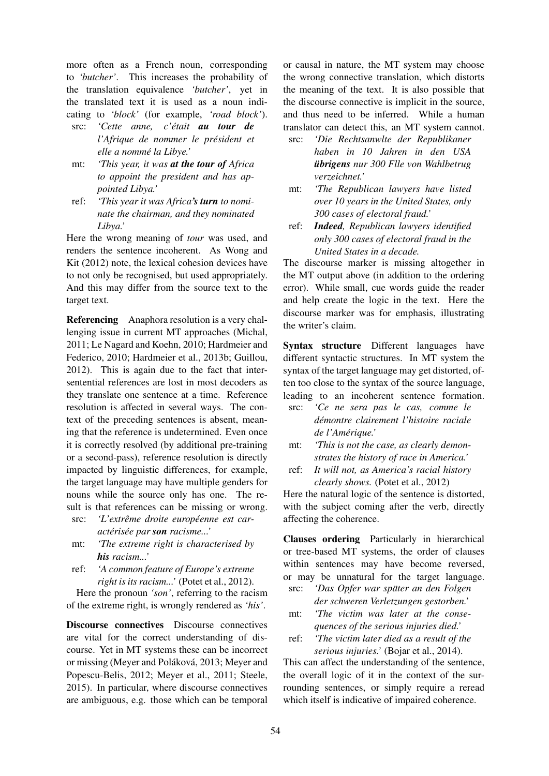more often as a French noun, corresponding to *'butcher'*. This increases the probability of the translation equivalence *'butcher'*, yet in the translated text it is used as a noun indicating to *'block'* (for example, *'road block'*).

- src: *'Cette anne, c'était au tour de l'Afrique de nommer le president et ´ elle a nomme la Libye.' ´*
- mt: *'This year, it was at the tour of Africa to appoint the president and has appointed Libya.'*
- ref: *'This year it was Africa's turn to nominate the chairman, and they nominated Libya.'*

Here the wrong meaning of *tour* was used, and renders the sentence incoherent. As Wong and Kit (2012) note, the lexical cohesion devices have to not only be recognised, but used appropriately. And this may differ from the source text to the target text.

Referencing Anaphora resolution is a very challenging issue in current MT approaches (Michal, 2011; Le Nagard and Koehn, 2010; Hardmeier and Federico, 2010; Hardmeier et al., 2013b; Guillou, 2012). This is again due to the fact that intersentential references are lost in most decoders as they translate one sentence at a time. Reference resolution is affected in several ways. The context of the preceding sentences is absent, meaning that the reference is undetermined. Even once it is correctly resolved (by additional pre-training or a second-pass), reference resolution is directly impacted by linguistic differences, for example, the target language may have multiple genders for nouns while the source only has one. The result is that references can be missing or wrong.

- src: 'L'extrême droite européenne est car*acteris ´ ee par ´ son racisme...'*
- mt: *'The extreme right is characterised by his racism...'*
- ref: *'A common feature of Europe's extreme right is its racism...'* (Potet et al., 2012).

Here the pronoun *'son'*, referring to the racism of the extreme right, is wrongly rendered as *'his'*.

Discourse connectives Discourse connectives are vital for the correct understanding of discourse. Yet in MT systems these can be incorrect or missing (Meyer and Poláková, 2013; Meyer and Popescu-Belis, 2012; Meyer et al., 2011; Steele, 2015). In particular, where discourse connectives are ambiguous, e.g. those which can be temporal

or causal in nature, the MT system may choose the wrong connective translation, which distorts the meaning of the text. It is also possible that the discourse connective is implicit in the source, and thus need to be inferred. While a human translator can detect this, an MT system cannot.

- src: *'Die Rechtsanwlte der Republikaner haben in 10 Jahren in den USA ubrigens ¨ nur 300 Flle von Wahlbetrug verzeichnet.'*
- mt: *'The Republican lawyers have listed over 10 years in the United States, only 300 cases of electoral fraud.'*
- ref: *Indeed, Republican lawyers identified only 300 cases of electoral fraud in the United States in a decade.*

The discourse marker is missing altogether in the MT output above (in addition to the ordering error). While small, cue words guide the reader and help create the logic in the text. Here the discourse marker was for emphasis, illustrating the writer's claim.

Syntax structure Different languages have different syntactic structures. In MT system the syntax of the target language may get distorted, often too close to the syntax of the source language, leading to an incoherent sentence formation.

- src: *'Ce ne sera pas le cas, comme le demontre clairement l'histoire raciale ´ de l'Amerique.' ´*
- mt: *'This is not the case, as clearly demonstrates the history of race in America.'*
- ref: *It will not, as America's racial history clearly shows.* (Potet et al., 2012)

Here the natural logic of the sentence is distorted, with the subject coming after the verb, directly affecting the coherence.

Clauses ordering Particularly in hierarchical or tree-based MT systems, the order of clauses within sentences may have become reversed, or may be unnatural for the target language.

- src: *'Das Opfer war spater an den Folgen ¨ der schweren Verletzungen gestorben.'*
- mt: *'The victim was later at the consequences of the serious injuries died.'*
- ref: *'The victim later died as a result of the serious injuries.'* (Bojar et al., 2014).

This can affect the understanding of the sentence, the overall logic of it in the context of the surrounding sentences, or simply require a reread which itself is indicative of impaired coherence.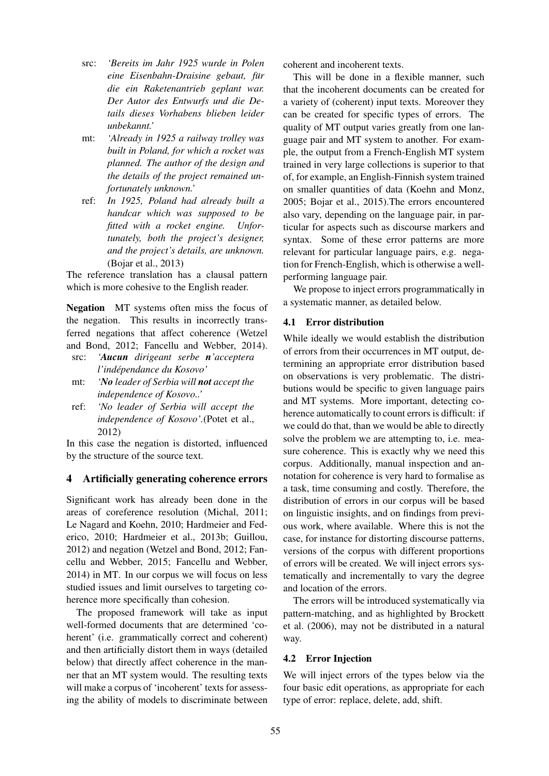- src: *'Bereits im Jahr 1925 wurde in Polen eine Eisenbahn-Draisine gebaut, fur¨ die ein Raketenantrieb geplant war. Der Autor des Entwurfs und die Details dieses Vorhabens blieben leider unbekannt.'*
- mt: *'Already in 1925 a railway trolley was built in Poland, for which a rocket was planned. The author of the design and the details of the project remained unfortunately unknown.'*
- ref: *In 1925, Poland had already built a handcar which was supposed to be fitted with a rocket engine. Unfortunately, both the project's designer, and the project's details, are unknown.* (Bojar et al., 2013)

The reference translation has a clausal pattern which is more cohesive to the English reader.

Negation MT systems often miss the focus of the negation. This results in incorrectly transferred negations that affect coherence (Wetzel and Bond, 2012; Fancellu and Webber, 2014).

- src: *'Aucun dirigeant serbe n'acceptera l'independance du Kosovo' ´*
- mt: *'No leader of Serbia will not accept the independence of Kosovo..'*
- ref: *'No leader of Serbia will accept the independence of Kosovo'.*(Potet et al., 2012)

In this case the negation is distorted, influenced by the structure of the source text.

## 4 Artificially generating coherence errors

Significant work has already been done in the areas of coreference resolution (Michal, 2011; Le Nagard and Koehn, 2010; Hardmeier and Federico, 2010; Hardmeier et al., 2013b; Guillou, 2012) and negation (Wetzel and Bond, 2012; Fancellu and Webber, 2015; Fancellu and Webber, 2014) in MT. In our corpus we will focus on less studied issues and limit ourselves to targeting coherence more specifically than cohesion.

The proposed framework will take as input well-formed documents that are determined 'coherent' (i.e. grammatically correct and coherent) and then artificially distort them in ways (detailed below) that directly affect coherence in the manner that an MT system would. The resulting texts will make a corpus of 'incoherent' texts for assessing the ability of models to discriminate between coherent and incoherent texts.

This will be done in a flexible manner, such that the incoherent documents can be created for a variety of (coherent) input texts. Moreover they can be created for specific types of errors. The quality of MT output varies greatly from one language pair and MT system to another. For example, the output from a French-English MT system trained in very large collections is superior to that of, for example, an English-Finnish system trained on smaller quantities of data (Koehn and Monz, 2005; Bojar et al., 2015).The errors encountered also vary, depending on the language pair, in particular for aspects such as discourse markers and syntax. Some of these error patterns are more relevant for particular language pairs, e.g. negation for French-English, which is otherwise a wellperforming language pair.

We propose to inject errors programmatically in a systematic manner, as detailed below.

### 4.1 Error distribution

While ideally we would establish the distribution of errors from their occurrences in MT output, determining an appropriate error distribution based on observations is very problematic. The distributions would be specific to given language pairs and MT systems. More important, detecting coherence automatically to count errors is difficult: if we could do that, than we would be able to directly solve the problem we are attempting to, i.e. measure coherence. This is exactly why we need this corpus. Additionally, manual inspection and annotation for coherence is very hard to formalise as a task, time consuming and costly. Therefore, the distribution of errors in our corpus will be based on linguistic insights, and on findings from previous work, where available. Where this is not the case, for instance for distorting discourse patterns, versions of the corpus with different proportions of errors will be created. We will inject errors systematically and incrementally to vary the degree and location of the errors.

The errors will be introduced systematically via pattern-matching, and as highlighted by Brockett et al. (2006), may not be distributed in a natural way.

#### 4.2 Error Injection

We will inject errors of the types below via the four basic edit operations, as appropriate for each type of error: replace, delete, add, shift.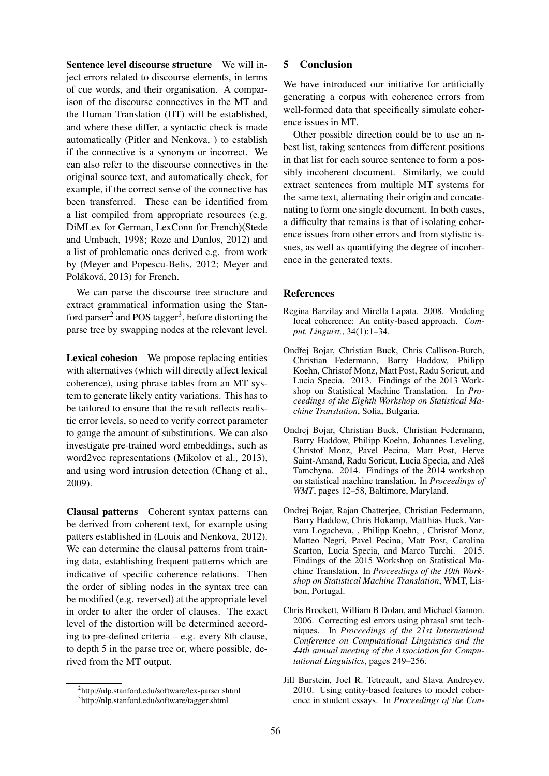Sentence level discourse structure We will inject errors related to discourse elements, in terms of cue words, and their organisation. A comparison of the discourse connectives in the MT and the Human Translation (HT) will be established, and where these differ, a syntactic check is made automatically (Pitler and Nenkova, ) to establish if the connective is a synonym or incorrect. We can also refer to the discourse connectives in the original source text, and automatically check, for example, if the correct sense of the connective has been transferred. These can be identified from a list compiled from appropriate resources (e.g. DiMLex for German, LexConn for French)(Stede and Umbach, 1998; Roze and Danlos, 2012) and a list of problematic ones derived e.g. from work by (Meyer and Popescu-Belis, 2012; Meyer and Poláková, 2013) for French.

We can parse the discourse tree structure and extract grammatical information using the Stanford parser<sup>2</sup> and POS tagger<sup>3</sup>, before distorting the parse tree by swapping nodes at the relevant level.

Lexical cohesion We propose replacing entities with alternatives (which will directly affect lexical coherence), using phrase tables from an MT system to generate likely entity variations. This has to be tailored to ensure that the result reflects realistic error levels, so need to verify correct parameter to gauge the amount of substitutions. We can also investigate pre-trained word embeddings, such as word2vec representations (Mikolov et al., 2013), and using word intrusion detection (Chang et al., 2009).

Clausal patterns Coherent syntax patterns can be derived from coherent text, for example using patters established in (Louis and Nenkova, 2012). We can determine the clausal patterns from training data, establishing frequent patterns which are indicative of specific coherence relations. Then the order of sibling nodes in the syntax tree can be modified (e.g. reversed) at the appropriate level in order to alter the order of clauses. The exact level of the distortion will be determined according to pre-defined criteria – e.g. every 8th clause, to depth 5 in the parse tree or, where possible, derived from the MT output.

### 5 Conclusion

We have introduced our initiative for artificially generating a corpus with coherence errors from well-formed data that specifically simulate coherence issues in MT.

Other possible direction could be to use an nbest list, taking sentences from different positions in that list for each source sentence to form a possibly incoherent document. Similarly, we could extract sentences from multiple MT systems for the same text, alternating their origin and concatenating to form one single document. In both cases, a difficulty that remains is that of isolating coherence issues from other errors and from stylistic issues, as well as quantifying the degree of incoherence in the generated texts.

### **References**

- Regina Barzilay and Mirella Lapata. 2008. Modeling local coherence: An entity-based approach. *Comput. Linguist.*, 34(1):1–34.
- Ondřej Bojar, Christian Buck, Chris Callison-Burch, Christian Federmann, Barry Haddow, Philipp Koehn, Christof Monz, Matt Post, Radu Soricut, and Lucia Specia. 2013. Findings of the 2013 Workshop on Statistical Machine Translation. In *Proceedings of the Eighth Workshop on Statistical Machine Translation*, Sofia, Bulgaria.
- Ondrej Bojar, Christian Buck, Christian Federmann, Barry Haddow, Philipp Koehn, Johannes Leveling, Christof Monz, Pavel Pecina, Matt Post, Herve Saint-Amand, Radu Soricut, Lucia Specia, and Aleš Tamchyna. 2014. Findings of the 2014 workshop on statistical machine translation. In *Proceedings of WMT*, pages 12–58, Baltimore, Maryland.
- Ondrej Bojar, Rajan Chatterjee, Christian Federmann, Barry Haddow, Chris Hokamp, Matthias Huck, Varvara Logacheva, , Philipp Koehn, , Christof Monz, Matteo Negri, Pavel Pecina, Matt Post, Carolina Scarton, Lucia Specia, and Marco Turchi. 2015. Findings of the 2015 Workshop on Statistical Machine Translation. In *Proceedings of the 10th Workshop on Statistical Machine Translation*, WMT, Lisbon, Portugal.
- Chris Brockett, William B Dolan, and Michael Gamon. 2006. Correcting esl errors using phrasal smt techniques. In *Proceedings of the 21st International Conference on Computational Linguistics and the 44th annual meeting of the Association for Computational Linguistics*, pages 249–256.
- Jill Burstein, Joel R. Tetreault, and Slava Andreyev. 2010. Using entity-based features to model coherence in student essays. In *Proceedings of the Con-*

<sup>2</sup> http://nlp.stanford.edu/software/lex-parser.shtml 3 http://nlp.stanford.edu/software/tagger.shtml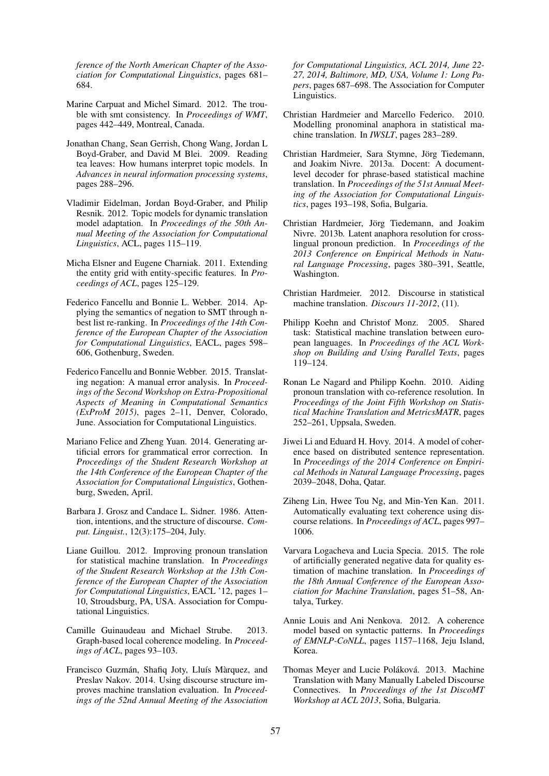*ference of the North American Chapter of the Association for Computational Linguistics*, pages 681– 684.

- Marine Carpuat and Michel Simard. 2012. The trouble with smt consistency. In *Proceedings of WMT*, pages 442–449, Montreal, Canada.
- Jonathan Chang, Sean Gerrish, Chong Wang, Jordan L Boyd-Graber, and David M Blei. 2009. Reading tea leaves: How humans interpret topic models. In *Advances in neural information processing systems*, pages 288–296.
- Vladimir Eidelman, Jordan Boyd-Graber, and Philip Resnik. 2012. Topic models for dynamic translation model adaptation. In *Proceedings of the 50th Annual Meeting of the Association for Computational Linguistics*, ACL, pages 115–119.
- Micha Elsner and Eugene Charniak. 2011. Extending the entity grid with entity-specific features. In *Proceedings of ACL*, pages 125–129.
- Federico Fancellu and Bonnie L. Webber. 2014. Applying the semantics of negation to SMT through nbest list re-ranking. In *Proceedings of the 14th Conference of the European Chapter of the Association for Computational Linguistics*, EACL, pages 598– 606, Gothenburg, Sweden.
- Federico Fancellu and Bonnie Webber. 2015. Translating negation: A manual error analysis. In *Proceedings of the Second Workshop on Extra-Propositional Aspects of Meaning in Computational Semantics (ExProM 2015)*, pages 2–11, Denver, Colorado, June. Association for Computational Linguistics.
- Mariano Felice and Zheng Yuan. 2014. Generating artificial errors for grammatical error correction. In *Proceedings of the Student Research Workshop at the 14th Conference of the European Chapter of the Association for Computational Linguistics*, Gothenburg, Sweden, April.
- Barbara J. Grosz and Candace L. Sidner. 1986. Attention, intentions, and the structure of discourse. *Comput. Linguist.*, 12(3):175–204, July.
- Liane Guillou. 2012. Improving pronoun translation for statistical machine translation. In *Proceedings of the Student Research Workshop at the 13th Conference of the European Chapter of the Association for Computational Linguistics*, EACL '12, pages 1– 10, Stroudsburg, PA, USA. Association for Computational Linguistics.
- Camille Guinaudeau and Michael Strube. 2013. Graph-based local coherence modeling. In *Proceedings of ACL*, pages 93–103.
- Francisco Guzmán, Shafiq Joty, Lluís Màrquez, and Preslav Nakov. 2014. Using discourse structure improves machine translation evaluation. In *Proceedings of the 52nd Annual Meeting of the Association*

*for Computational Linguistics, ACL 2014, June 22- 27, 2014, Baltimore, MD, USA, Volume 1: Long Papers*, pages 687–698. The Association for Computer Linguistics.

- Christian Hardmeier and Marcello Federico. 2010. Modelling pronominal anaphora in statistical machine translation. In *IWSLT*, pages 283–289.
- Christian Hardmeier, Sara Stymne, Jörg Tiedemann, and Joakim Nivre. 2013a. Docent: A documentlevel decoder for phrase-based statistical machine translation. In *Proceedings of the 51st Annual Meeting of the Association for Computational Linguistics*, pages 193–198, Sofia, Bulgaria.
- Christian Hardmeier, Jörg Tiedemann, and Joakim Nivre. 2013b. Latent anaphora resolution for crosslingual pronoun prediction. In *Proceedings of the 2013 Conference on Empirical Methods in Natural Language Processing*, pages 380–391, Seattle, Washington.
- Christian Hardmeier. 2012. Discourse in statistical machine translation. *Discours 11-2012*, (11).
- Philipp Koehn and Christof Monz. 2005. Shared task: Statistical machine translation between european languages. In *Proceedings of the ACL Workshop on Building and Using Parallel Texts*, pages 119–124.
- Ronan Le Nagard and Philipp Koehn. 2010. Aiding pronoun translation with co-reference resolution. In *Proceedings of the Joint Fifth Workshop on Statistical Machine Translation and MetricsMATR*, pages 252–261, Uppsala, Sweden.
- Jiwei Li and Eduard H. Hovy. 2014. A model of coherence based on distributed sentence representation. In *Proceedings of the 2014 Conference on Empirical Methods in Natural Language Processing*, pages 2039–2048, Doha, Qatar.
- Ziheng Lin, Hwee Tou Ng, and Min-Yen Kan. 2011. Automatically evaluating text coherence using discourse relations. In *Proceedings of ACL*, pages 997– 1006.
- Varvara Logacheva and Lucia Specia. 2015. The role of artificially generated negative data for quality estimation of machine translation. In *Proceedings of the 18th Annual Conference of the European Association for Machine Translation*, pages 51–58, Antalya, Turkey.
- Annie Louis and Ani Nenkova. 2012. A coherence model based on syntactic patterns. In *Proceedings of EMNLP-CoNLL*, pages 1157–1168, Jeju Island, Korea.
- Thomas Meyer and Lucie Poláková. 2013. Machine Translation with Many Manually Labeled Discourse Connectives. In *Proceedings of the 1st DiscoMT Workshop at ACL 2013*, Sofia, Bulgaria.